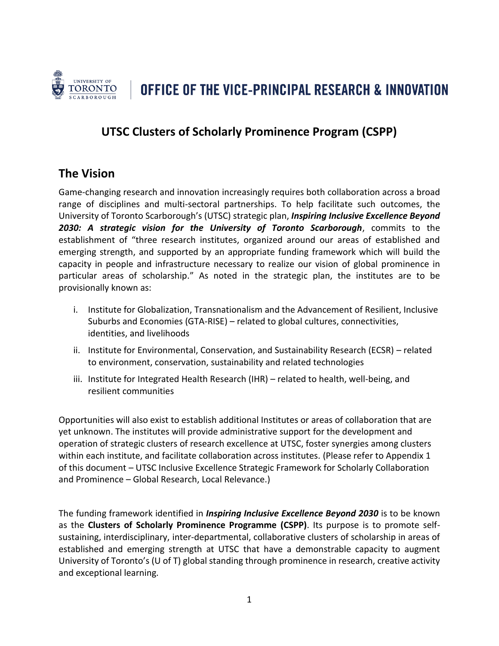

OFFICE OF THE VICE-PRINCIPAL RESEARCH & INNOVATION

# **UTSC Clusters of Scholarly Prominence Program (CSPP)**

# **The Vision**

Game-changing research and innovation increasingly requires both collaboration across a broad range of disciplines and multi-sectoral partnerships. To help facilitate such outcomes, the University of Toronto Scarborough's (UTSC) strategic plan, *Inspiring Inclusive Excellence Beyond 2030: A strategic vision for the University of Toronto Scarborough*, commits to the establishment of "three research institutes, organized around our areas of established and emerging strength, and supported by an appropriate funding framework which will build the capacity in people and infrastructure necessary to realize our vision of global prominence in particular areas of scholarship." As noted in the strategic plan, the institutes are to be provisionally known as:

- i. Institute for Globalization, Transnationalism and the Advancement of Resilient, Inclusive Suburbs and Economies (GTA-RISE) – related to global cultures, connectivities, identities, and livelihoods
- ii. Institute for Environmental, Conservation, and Sustainability Research (ECSR) related to environment, conservation, sustainability and related technologies
- iii. Institute for Integrated Health Research (IHR) related to health, well-being, and resilient communities

Opportunities will also exist to establish additional Institutes or areas of collaboration that are yet unknown. The institutes will provide administrative support for the development and operation of strategic clusters of research excellence at UTSC, foster synergies among clusters within each institute, and facilitate collaboration across institutes. (Please refer to Appendix 1 of this document – UTSC Inclusive Excellence Strategic Framework for Scholarly Collaboration and Prominence – Global Research, Local Relevance.)

The funding framework identified in *Inspiring Inclusive Excellence Beyond 2030* is to be known as the **Clusters of Scholarly Prominence Programme (CSPP)**. Its purpose is to promote selfsustaining, interdisciplinary, inter-departmental, collaborative clusters of scholarship in areas of established and emerging strength at UTSC that have a demonstrable capacity to augment University of Toronto's (U of T) global standing through prominence in research, creative activity and exceptional learning.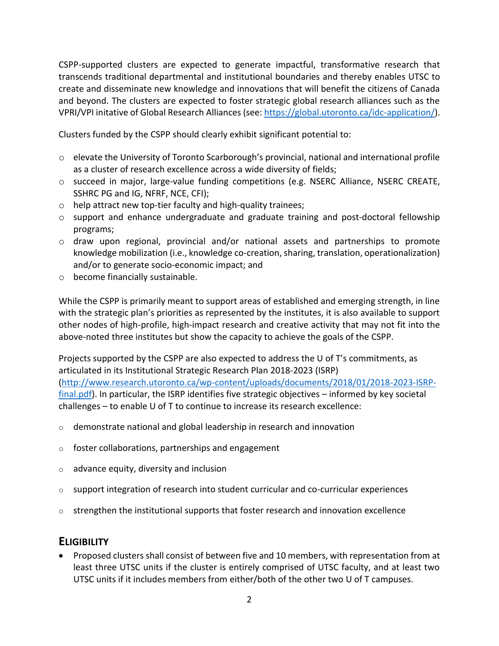CSPP-supported clusters are expected to generate impactful, transformative research that transcends traditional departmental and institutional boundaries and thereby enables UTSC to create and disseminate new knowledge and innovations that will benefit the citizens of Canada and beyond. The clusters are expected to foster strategic global research alliances such as the VPRI/VPI initative of Global Research Alliances (see: [https://global.utoronto.ca/idc-application/\)](about:blank).

Clusters funded by the CSPP should clearly exhibit significant potential to:

- o elevate the University of Toronto Scarborough's provincial, national and international profile as a cluster of research excellence across a wide diversity of fields;
- o succeed in major, large-value funding competitions (e.g. NSERC Alliance, NSERC CREATE, SSHRC PG and IG, NFRF, NCE, CFI);
- o help attract new top-tier faculty and high-quality trainees;
- $\circ$  support and enhance undergraduate and graduate training and post-doctoral fellowship programs;
- $\circ$  draw upon regional, provincial and/or national assets and partnerships to promote knowledge mobilization (i.e., knowledge co-creation, sharing, translation, operationalization) and/or to generate socio-economic impact; and
- o become financially sustainable.

While the CSPP is primarily meant to support areas of established and emerging strength, in line with the strategic plan's priorities as represented by the institutes, it is also available to support other nodes of high-profile, high-impact research and creative activity that may not fit into the above-noted three institutes but show the capacity to achieve the goals of the CSPP.

Projects supported by the CSPP are also expected to address the U of T's commitments, as articulated in its Institutional Strategic Research Plan 2018-2023 (ISRP) [\(http://www.research.utoronto.ca/wp-content/uploads/documents/2018/01/2018-2023-ISRP](about:blank)[final.pdf\)](about:blank). In particular, the ISRP identifies five strategic objectives – informed by key societal challenges – to enable U of T to continue to increase its research excellence:

- $\circ$  demonstrate national and global leadership in research and innovation
- o foster collaborations, partnerships and engagement
- $\circ$  advance equity, diversity and inclusion
- $\circ$  support integration of research into student curricular and co-curricular experiences
- $\circ$  strengthen the institutional supports that foster research and innovation excellence

# **ELIGIBILITY**

 Proposed clusters shall consist of between five and 10 members, with representation from at least three UTSC units if the cluster is entirely comprised of UTSC faculty, and at least two UTSC units if it includes members from either/both of the other two U of T campuses.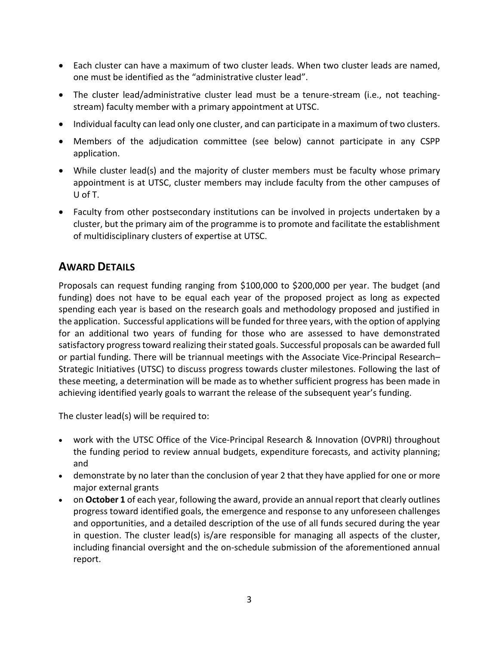- Each cluster can have a maximum of two cluster leads. When two cluster leads are named, one must be identified as the "administrative cluster lead".
- The cluster lead/administrative cluster lead must be a tenure-stream (i.e., not teachingstream) faculty member with a primary appointment at UTSC.
- Individual faculty can lead only one cluster, and can participate in a maximum of two clusters.
- Members of the adjudication committee (see below) cannot participate in any CSPP application.
- While cluster lead(s) and the majority of cluster members must be faculty whose primary appointment is at UTSC, cluster members may include faculty from the other campuses of U of T.
- Faculty from other postsecondary institutions can be involved in projects undertaken by a cluster, but the primary aim of the programme is to promote and facilitate the establishment of multidisciplinary clusters of expertise at UTSC.

### **AWARD DETAILS**

Proposals can request funding ranging from \$100,000 to \$200,000 per year. The budget (and funding) does not have to be equal each year of the proposed project as long as expected spending each year is based on the research goals and methodology proposed and justified in the application. Successful applications will be funded for three years, with the option of applying for an additional two years of funding for those who are assessed to have demonstrated satisfactory progress toward realizing their stated goals. Successful proposals can be awarded full or partial funding. There will be triannual meetings with the Associate Vice-Principal Research– Strategic Initiatives (UTSC) to discuss progress towards cluster milestones. Following the last of these meeting, a determination will be made as to whether sufficient progress has been made in achieving identified yearly goals to warrant the release of the subsequent year's funding.

The cluster lead(s) will be required to:

- work with the UTSC Office of the Vice-Principal Research & Innovation (OVPRI) throughout the funding period to review annual budgets, expenditure forecasts, and activity planning; and
- demonstrate by no later than the conclusion of year 2 that they have applied for one or more major external grants
- on **October 1** of each year, following the award, provide an annual report that clearly outlines progress toward identified goals, the emergence and response to any unforeseen challenges and opportunities, and a detailed description of the use of all funds secured during the year in question. The cluster lead(s) is/are responsible for managing all aspects of the cluster, including financial oversight and the on-schedule submission of the aforementioned annual report.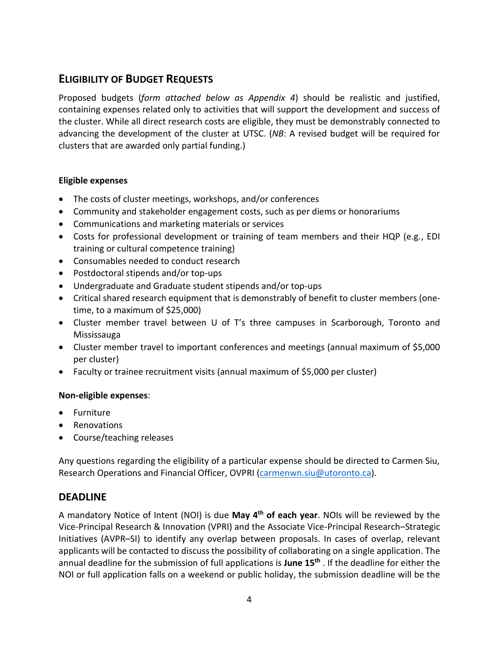### **ELIGIBILITY OF BUDGET REQUESTS**

Proposed budgets (*form attached below as Appendix 4*) should be realistic and justified, containing expenses related only to activities that will support the development and success of the cluster. While all direct research costs are eligible, they must be demonstrably connected to advancing the development of the cluster at UTSC. (*NB*: A revised budget will be required for clusters that are awarded only partial funding.)

#### **Eligible expenses**

- The costs of cluster meetings, workshops, and/or conferences
- Community and stakeholder engagement costs, such as per diems or honorariums
- Communications and marketing materials or services
- Costs for professional development or training of team members and their HQP (e.g., EDI training or cultural competence training)
- Consumables needed to conduct research
- Postdoctoral stipends and/or top-ups
- Undergraduate and Graduate student stipends and/or top-ups
- Critical shared research equipment that is demonstrably of benefit to cluster members (onetime, to a maximum of \$25,000)
- Cluster member travel between U of T's three campuses in Scarborough, Toronto and Mississauga
- Cluster member travel to important conferences and meetings (annual maximum of \$5,000 per cluster)
- Faculty or trainee recruitment visits (annual maximum of \$5,000 per cluster)

#### **Non-eligible expenses**:

- Furniture
- Renovations
- Course/teaching releases

Any questions regarding the eligibility of a particular expense should be directed to Carmen Siu, Research Operations and Financial Officer, OVPRI [\(carmenwn.siu@utoronto.ca\)](mailto:carmenwn.siu@utoronto.ca).

### **DEADLINE**

A mandatory Notice of Intent (NOI) is due **May 4th of each year**. NOIs will be reviewed by the Vice-Principal Research & Innovation (VPRI) and the Associate Vice-Principal Research–Strategic Initiatives (AVPR–SI) to identify any overlap between proposals. In cases of overlap, relevant applicants will be contacted to discuss the possibility of collaborating on a single application. The annual deadline for the submission of full applications is **June 15 th** . If the deadline for either the NOI or full application falls on a weekend or public holiday, the submission deadline will be the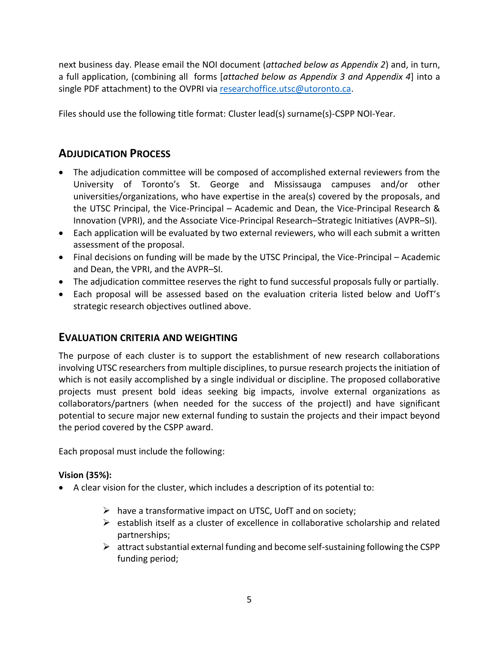next business day. Please email the NOI document (*attached below as Appendix 2*) and, in turn, a full application, (combining all forms [*attached below as Appendix 3 and Appendix 4*] into a single PDF attachment) to the OVPRI via researchoffice.utsc@utoronto.ca.

Files should use the following title format: Cluster lead(s) surname(s)-CSPP NOI-Year.

## **ADJUDICATION PROCESS**

- The adjudication committee will be composed of accomplished external reviewers from the University of Toronto's St. George and Mississauga campuses and/or other universities/organizations, who have expertise in the area(s) covered by the proposals, and the UTSC Principal, the Vice-Principal – Academic and Dean, the Vice-Principal Research & Innovation (VPRI), and the Associate Vice-Principal Research–Strategic Initiatives (AVPR–SI).
- Each application will be evaluated by two external reviewers, who will each submit a written assessment of the proposal.
- Final decisions on funding will be made by the UTSC Principal, the Vice-Principal Academic and Dean, the VPRI, and the AVPR–SI.
- The adjudication committee reserves the right to fund successful proposals fully or partially.
- Each proposal will be assessed based on the evaluation criteria listed below and UofT's strategic research objectives outlined above.

### **EVALUATION CRITERIA AND WEIGHTING**

The purpose of each cluster is to support the establishment of new research collaborations involving UTSC researchers from multiple disciplines, to pursue research projects the initiation of which is not easily accomplished by a single individual or discipline. The proposed collaborative projects must present bold ideas seeking big impacts, involve external organizations as collaborators/partners (when needed for the success of the projectl) and have significant potential to secure major new external funding to sustain the projects and their impact beyond the period covered by the CSPP award.

Each proposal must include the following:

#### **Vision (35%):**

- A clear vision for the cluster, which includes a description of its potential to:
	- $\triangleright$  have a transformative impact on UTSC, UofT and on society;
	- $\triangleright$  establish itself as a cluster of excellence in collaborative scholarship and related partnerships;
	- $\triangleright$  attract substantial external funding and become self-sustaining following the CSPP funding period;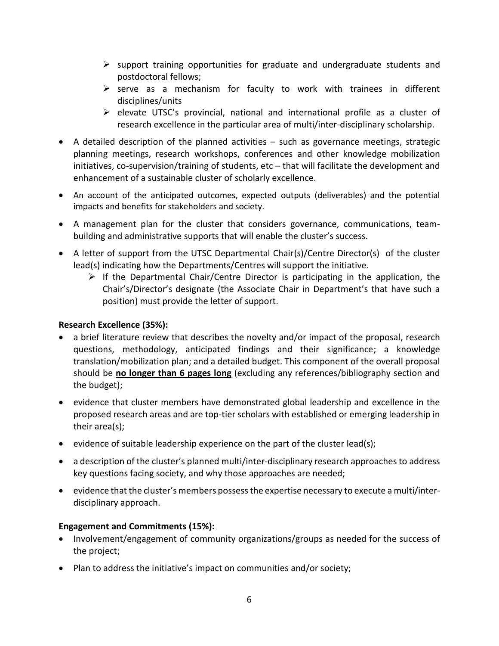- $\triangleright$  support training opportunities for graduate and undergraduate students and postdoctoral fellows;
- $\triangleright$  serve as a mechanism for faculty to work with trainees in different disciplines/units
- $\triangleright$  elevate UTSC's provincial, national and international profile as a cluster of research excellence in the particular area of multi/inter-disciplinary scholarship.
- A detailed description of the planned activities such as governance meetings, strategic planning meetings, research workshops, conferences and other knowledge mobilization initiatives, co-supervision/training of students, etc – that will facilitate the development and enhancement of a sustainable cluster of scholarly excellence.
- An account of the anticipated outcomes, expected outputs (deliverables) and the potential impacts and benefits for stakeholders and society.
- A management plan for the cluster that considers governance, communications, teambuilding and administrative supports that will enable the cluster's success.
- A letter of support from the UTSC Departmental Chair(s)/Centre Director(s) of the cluster lead(s) indicating how the Departments/Centres will support the initiative.
	- $\triangleright$  If the Departmental Chair/Centre Director is participating in the application, the Chair's/Director's designate (the Associate Chair in Department's that have such a position) must provide the letter of support.

#### **Research Excellence (35%):**

- a brief literature review that describes the novelty and/or impact of the proposal, research questions, methodology, anticipated findings and their significance; a knowledge translation/mobilization plan; and a detailed budget. This component of the overall proposal should be **no longer than 6 pages long** (excluding any references/bibliography section and the budget);
- evidence that cluster members have demonstrated global leadership and excellence in the proposed research areas and are top-tier scholars with established or emerging leadership in their area(s);
- evidence of suitable leadership experience on the part of the cluster lead(s);
- a description of the cluster's planned multi/inter-disciplinary research approaches to address key questions facing society, and why those approaches are needed;
- $\bullet$  evidence that the cluster's members possess the expertise necessary to execute a multi/interdisciplinary approach.

#### **Engagement and Commitments (15%):**

- Involvement/engagement of community organizations/groups as needed for the success of the project;
- Plan to address the initiative's impact on communities and/or society;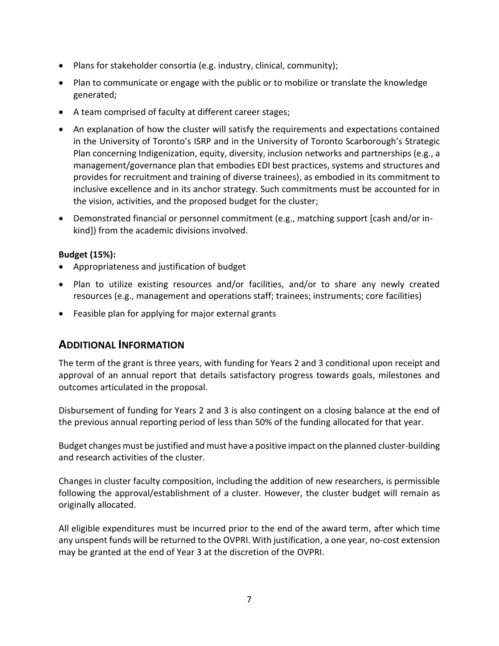- Plans for stakeholder consortia (e.g. industry, clinical, community);
- Plan to communicate or engage with the public or to mobilize or translate the knowledge generated;
- A team comprised of faculty at different career stages;
- An explanation of how the cluster will satisfy the requirements and expectations contained in the University of Toronto's ISRP and in the University of Toronto Scarborough's Strategic Plan concerning Indigenization, equity, diversity, inclusion networks and partnerships (e.g., a management/governance plan that embodies EDI best practices, systems and structures and provides for recruitment and training of diverse trainees), as embodied in its commitment to inclusive excellence and in its anchor strategy. Such commitments must be accounted for in the vision, activities, and the proposed budget for the cluster;
- Demonstrated financial or personnel commitment (e.g., matching support [cash and/or inkind]) from the academic divisions involved.

#### **Budget (15%):**

- Appropriateness and justification of budget
- Plan to utilize existing resources and/or facilities, and/or to share any newly created resources (e.g., management and operations staff; trainees; instruments; core facilities)
- Feasible plan for applying for major external grants

### **ADDITIONAL INFORMATION**

The term of the grant is three years, with funding for Years 2 and 3 conditional upon receipt and approval of an annual report that details satisfactory progress towards goals, milestones and outcomes articulated in the proposal.

Disbursement of funding for Years 2 and 3 is also contingent on a closing balance at the end of the previous annual reporting period of less than 50% of the funding allocated for that year.

Budget changes must be justified and must have a positive impact on the planned cluster-building and research activities of the cluster.

Changes in cluster faculty composition, including the addition of new researchers, is permissible following the approval/establishment of a cluster. However, the cluster budget will remain as originally allocated.

All eligible expenditures must be incurred prior to the end of the award term, after which time any unspent funds will be returned to the OVPRI. With justification, a one year, no-cost extension may be granted at the end of Year 3 at the discretion of the OVPRI.